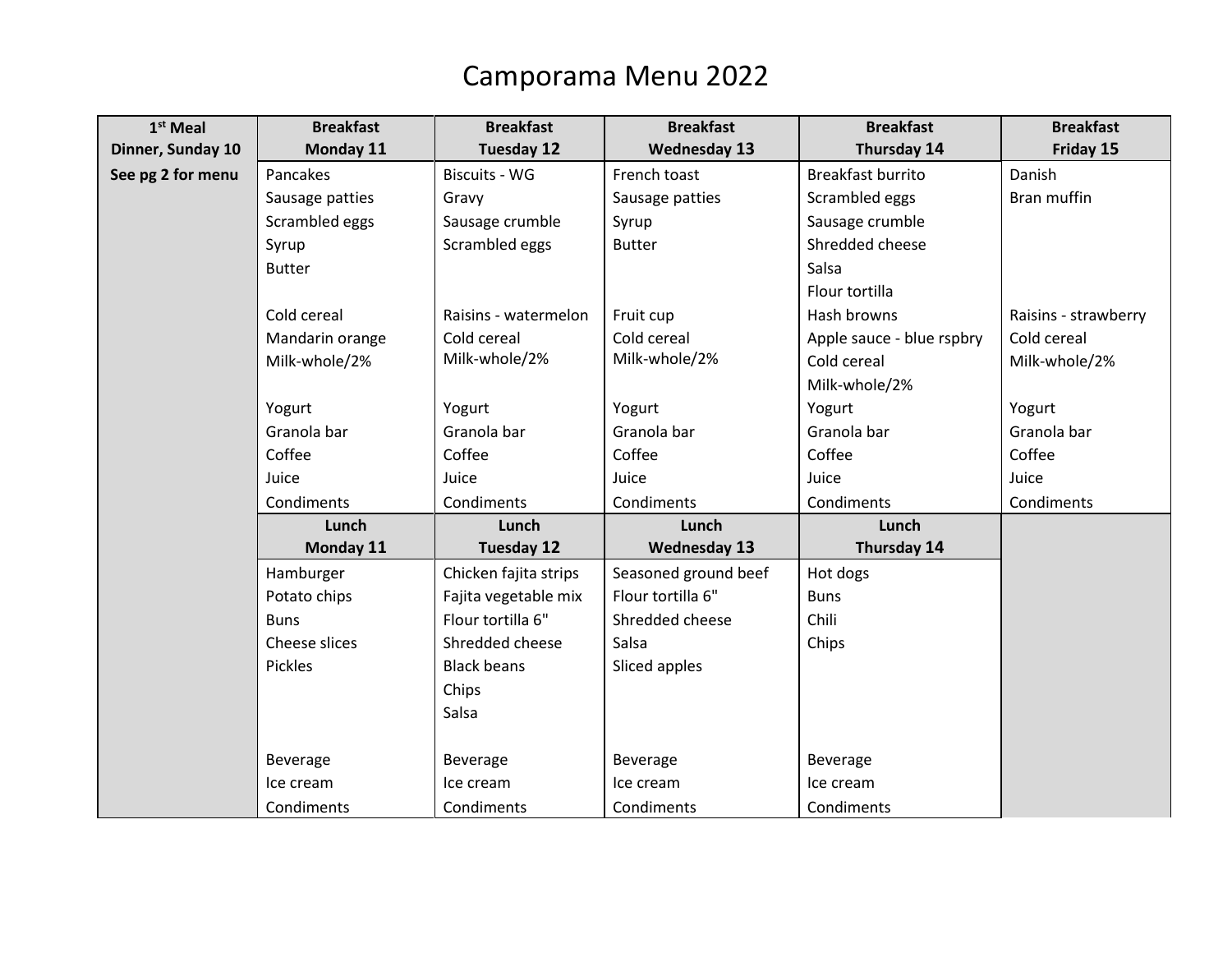## Camporama Menu 2022

| $1st$ Meal        | <b>Breakfast</b> | <b>Breakfast</b>      | <b>Breakfast</b>     | <b>Breakfast</b>          | <b>Breakfast</b>     |
|-------------------|------------------|-----------------------|----------------------|---------------------------|----------------------|
| Dinner, Sunday 10 | Monday 11        | <b>Tuesday 12</b>     | <b>Wednesday 13</b>  | Thursday 14               | Friday 15            |
| See pg 2 for menu | Pancakes         | <b>Biscuits - WG</b>  | French toast         | <b>Breakfast burrito</b>  | Danish               |
|                   | Sausage patties  | Gravy                 | Sausage patties      | Scrambled eggs            | Bran muffin          |
|                   | Scrambled eggs   | Sausage crumble       | Syrup                | Sausage crumble           |                      |
|                   | Syrup            | Scrambled eggs        | <b>Butter</b>        | Shredded cheese           |                      |
|                   | <b>Butter</b>    |                       |                      | Salsa                     |                      |
|                   |                  |                       |                      | Flour tortilla            |                      |
|                   | Cold cereal      | Raisins - watermelon  | Fruit cup            | Hash browns               | Raisins - strawberry |
|                   | Mandarin orange  | Cold cereal           | Cold cereal          | Apple sauce - blue rspbry | Cold cereal          |
|                   | Milk-whole/2%    | Milk-whole/2%         | Milk-whole/2%        | Cold cereal               | Milk-whole/2%        |
|                   |                  |                       |                      | Milk-whole/2%             |                      |
|                   | Yogurt           | Yogurt                | Yogurt               | Yogurt                    | Yogurt               |
|                   | Granola bar      | Granola bar           | Granola bar          | Granola bar               | Granola bar          |
|                   | Coffee           | Coffee                | Coffee               | Coffee                    | Coffee               |
|                   | Juice            | Juice                 | Juice                | Juice                     | Juice                |
|                   | Condiments       | Condiments            | Condiments           | Condiments                | Condiments           |
|                   | Lunch            | Lunch                 | Lunch                | Lunch                     |                      |
|                   | Monday 11        | <b>Tuesday 12</b>     | <b>Wednesday 13</b>  | Thursday 14               |                      |
|                   | Hamburger        | Chicken fajita strips | Seasoned ground beef | Hot dogs                  |                      |
|                   | Potato chips     | Fajita vegetable mix  | Flour tortilla 6"    | <b>Buns</b>               |                      |
|                   | <b>Buns</b>      | Flour tortilla 6"     | Shredded cheese      | Chili                     |                      |
|                   | Cheese slices    | Shredded cheese       | Salsa                | Chips                     |                      |
|                   | Pickles          | <b>Black beans</b>    | Sliced apples        |                           |                      |
|                   |                  | Chips                 |                      |                           |                      |
|                   |                  | Salsa                 |                      |                           |                      |
|                   |                  |                       |                      |                           |                      |
|                   | Beverage         | Beverage              | Beverage             | Beverage                  |                      |
|                   | Ice cream        | Ice cream             | Ice cream            | Ice cream                 |                      |
|                   | Condiments       | Condiments            | Condiments           | Condiments                |                      |